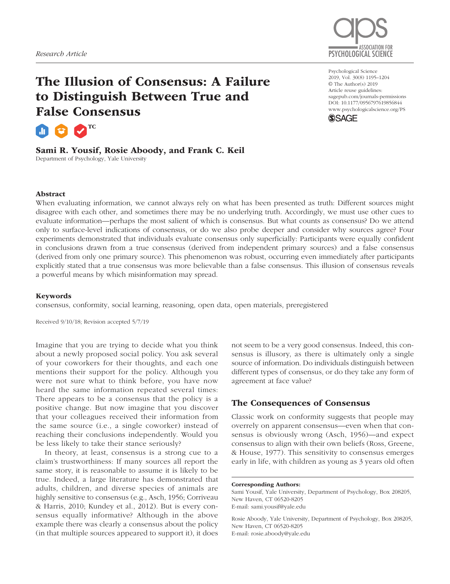

# The Illusion of Consensus: A Failure to Distinguish Between True and False Consensus



# Sami R. Yousif, Rosie Aboody, and Frank C. Keil

Department of Psychology, Yale University

https://doi.org/10.1177/0956797619856844 DOI: 10.1177/0956797619856844 Psychological Science 2019, Vol. 30(8) 1195–1204 © The Author(s) 2019 Article reuse guidelines: sagepub.com/journals-permissions [www.psychologicalscience.org/PS](http://www.psychologicalscience.org/ps)



#### Abstract

When evaluating information, we cannot always rely on what has been presented as truth: Different sources might disagree with each other, and sometimes there may be no underlying truth. Accordingly, we must use other cues to evaluate information—perhaps the most salient of which is consensus. But what counts as consensus? Do we attend only to surface-level indications of consensus, or do we also probe deeper and consider why sources agree? Four experiments demonstrated that individuals evaluate consensus only superficially: Participants were equally confident in conclusions drawn from a true consensus (derived from independent primary sources) and a false consensus (derived from only one primary source). This phenomenon was robust, occurring even immediately after participants explicitly stated that a true consensus was more believable than a false consensus. This illusion of consensus reveals a powerful means by which misinformation may spread.

#### Keywords

consensus, conformity, social learning, reasoning, open data, open materials, preregistered

Received 9/10/18; Revision accepted 5/7/19

Imagine that you are trying to decide what you think about a newly proposed social policy. You ask several of your coworkers for their thoughts, and each one mentions their support for the policy. Although you were not sure what to think before, you have now heard the same information repeated several times: There appears to be a consensus that the policy is a positive change. But now imagine that you discover that your colleagues received their information from the same source (i.e., a single coworker) instead of reaching their conclusions independently. Would you be less likely to take their stance seriously?

In theory, at least, consensus is a strong cue to a claim's trustworthiness: If many sources all report the same story, it is reasonable to assume it is likely to be true. Indeed, a large literature has demonstrated that adults, children, and diverse species of animals are highly sensitive to consensus (e.g., Asch, 1956; Corriveau & Harris, 2010; Kundey et al., 2012). But is every consensus equally informative? Although in the above example there was clearly a consensus about the policy (in that multiple sources appeared to support it), it does

not seem to be a very good consensus. Indeed, this consensus is illusory, as there is ultimately only a single source of information. Do individuals distinguish between different types of consensus, or do they take any form of agreement at face value?

# The Consequences of Consensus

Classic work on conformity suggests that people may overrely on apparent consensus—even when that consensus is obviously wrong (Asch, 1956)—and expect consensus to align with their own beliefs (Ross, Greene, & House, 1977). This sensitivity to consensus emerges early in life, with children as young as 3 years old often

#### Corresponding Authors:

Sami Yousif, Yale University, Department of Psychology, Box 208205, New Haven, CT 06520-8205 E-mail: [sami.yousif@yale.edu](mailto:sami.yousif@yale.edu)

Rosie Aboody, Yale University, Department of Psychology, Box 208205, New Haven, CT 06520-8205 E-mail: [rosie.aboody@yale.edu](mailto:rosie.aboody@yale.edu)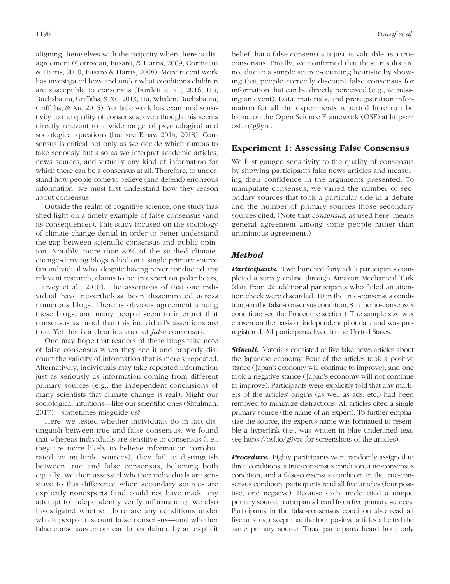aligning themselves with the majority when there is disagreement (Corriveau, Fusaro, & Harris, 2009; Corriveau & Harris, 2010; Fusaro & Harris, 2008). More recent work has investigated how and under what conditions children are susceptible to consensus (Burdett et al., 2016; Hu, Buchsbaum, Griffiths, & Xu, 2013; Hu, Whalen, Buchsbaum, Griffiths, & Xu, 2015). Yet little work has examined sensitivity to the quality of consensus, even though this seems directly relevant to a wide range of psychological and sociological questions (but see Einav, 2014, 2018). Consensus is critical not only as we decide which rumors to take seriously but also as we interpret academic articles, news sources, and virtually any kind of information for which there can be a consensus at all. Therefore, to understand how people come to believe (and defend) erroneous information, we must first understand how they reason about consensus.

Outside the realm of cognitive science, one study has shed light on a timely example of false consensus (and its consequences). This study focused on the sociology of climate-change denial in order to better understand the gap between scientific consensus and public opinion. Notably, more than 80% of the studied climatechange-denying blogs relied on a single primary source (an individual who, despite having never conducted any relevant research, claims to be an expert on polar bears; Harvey et al., 2018). The assertions of that one individual have nevertheless been disseminated across numerous blogs. There is obvious agreement among these blogs, and many people seem to interpret that consensus as proof that this individual's assertions are true. Yet this is a clear instance of *false* consensus.

One may hope that readers of these blogs take note of false consensus when they see it and properly discount the validity of information that is merely repeated. Alternatively, individuals may take repeated information just as seriously as information coming from different primary sources (e.g., the independent conclusions of many scientists that climate change is real). Might our sociological intuitions—like our scientific ones (Shtulman, 2017)—sometimes misguide us?

Here, we tested whether individuals do in fact distinguish between true and false consensus. We found that whereas individuals are sensitive to consensus (i.e., they are more likely to believe information corroborated by multiple sources), they fail to distinguish between true and false consensus, believing both equally. We then assessed whether individuals are sensitive to this difference when secondary sources are explicitly nonexperts (and could not have made any attempt to independently verify information). We also investigated whether there are any conditions under which people discount false consensus—and whether false-consensus errors can be explained by an explicit belief that a false consensus is just as valuable as a true consensus. Finally, we confirmed that these results are not due to a simple source-counting heuristic by showing that people correctly discount false consensus for information that can be directly perceived (e.g., witnessing an event). Data, materials, and preregistration information for all the experiments reported here can be found on the Open Science Framework (OSF) at [https://](https://osf.io/g9yrc) [osf.io/g9yrc.](https://osf.io/g9yrc)

## Experiment 1: Assessing False Consensus

We first gauged sensitivity to the quality of consensus by showing participants fake news articles and measuring their confidence in the arguments presented. To manipulate consensus, we varied the number of secondary sources that took a particular side in a debate and the number of primary sources those secondary sources cited. (Note that *consensus*, as used here, means general agreement among some people rather than unanimous agreement.)

# *Method*

**Participants.** Two hundred forty adult participants completed a survey online through Amazon Mechanical Turk (data from 22 additional participants who failed an attention check were discarded: 10 in the true-consensus condition, 4 in the false-consensus condition, 8 in the no-consensus condition; see the Procedure section). The sample size was chosen on the basis of independent pilot data and was preregistered. All participants lived in the United States.

**Stimuli.** Materials consisted of five fake news articles about the Japanese economy. Four of the articles took a positive stance (Japan's economy will continue to improve), and one took a negative stance (Japan's economy will not continue to improve). Participants were explicitly told that any markers of the articles' origins (as well as ads, etc.) had been removed to minimize distractions. All articles cited a single primary source (the name of an expert). To further emphasize the source, the expert's name was formatted to resemble a hyperlink (i.e., was written in blue underlined text; see [https://osf.io/g](https://osf.io/g9yrc)9yrc for screenshots of the articles).

**Procedure.** Eighty participants were randomly assigned to three conditions: a true-consensus condition, a no-consensus condition, and a false-consensus condition. In the true-consensus condition, participants read all five articles (four positive, one negative). Because each article cited a unique primary source, participants heard from five primary sources. Participants in the false-consensus condition also read all five articles, except that the four positive articles all cited the same primary source. Thus, participants heard from only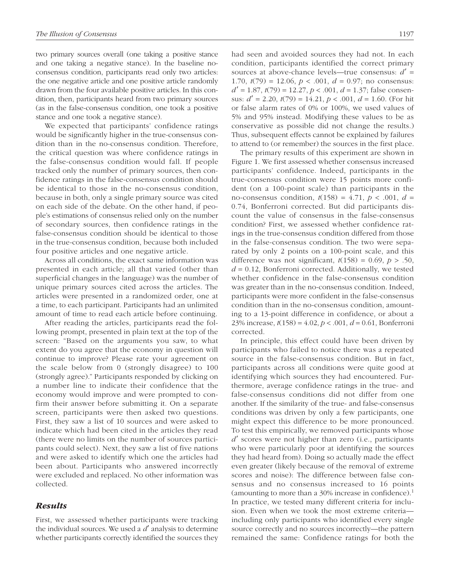two primary sources overall (one taking a positive stance and one taking a negative stance). In the baseline noconsensus condition, participants read only two articles: the one negative article and one positive article randomly drawn from the four available positive articles. In this condition, then, participants heard from two primary sources (as in the false-consensus condition, one took a positive stance and one took a negative stance).

We expected that participants' confidence ratings would be significantly higher in the true-consensus condition than in the no-consensus condition. Therefore, the critical question was where confidence ratings in the false-consensus condition would fall. If people tracked only the number of primary sources, then confidence ratings in the false-consensus condition should be identical to those in the no-consensus condition, because in both, only a single primary source was cited on each side of the debate. On the other hand, if people's estimations of consensus relied only on the number of secondary sources, then confidence ratings in the false-consensus condition should be identical to those in the true-consensus condition, because both included four positive articles and one negative article.

Across all conditions, the exact same information was presented in each article; all that varied (other than superficial changes in the language) was the number of unique primary sources cited across the articles. The articles were presented in a randomized order, one at a time, to each participant. Participants had an unlimited amount of time to read each article before continuing.

After reading the articles, participants read the following prompt, presented in plain text at the top of the screen: "Based on the arguments you saw, to what extent do you agree that the economy in question will continue to improve? Please rate your agreement on the scale below from 0 (strongly disagree) to 100 (strongly agree)." Participants responded by clicking on a number line to indicate their confidence that the economy would improve and were prompted to confirm their answer before submitting it. On a separate screen, participants were then asked two questions. First, they saw a list of 10 sources and were asked to indicate which had been cited in the articles they read (there were no limits on the number of sources participants could select). Next, they saw a list of five nations and were asked to identify which one the articles had been about. Participants who answered incorrectly were excluded and replaced. No other information was collected.

## *Results*

First, we assessed whether participants were tracking the individual sources. We used a *d*′ analysis to determine whether participants correctly identified the sources they had seen and avoided sources they had not. In each condition, participants identified the correct primary sources at above-chance levels—true consensus: *d*′ = 1.70,  $t(79) = 12.06$ ,  $p < .001$ ,  $d = 0.97$ ; no consensus: *d*′ = 1.87, *t*(79) = 12.27, *p* < .001, *d* = 1.37; false consensus: *d*′ = 2.20, *t*(79) = 14.21, *p* < .001, *d* = 1.60. (For hit or false alarm rates of 0% or 100%, we used values of 5% and 95% instead. Modifying these values to be as conservative as possible did not change the results.) Thus, subsequent effects cannot be explained by failures to attend to (or remember) the sources in the first place.

The primary results of this experiment are shown in Figure 1. We first assessed whether consensus increased participants' confidence. Indeed, participants in the true-consensus condition were 15 points more confident (on a 100-point scale) than participants in the no-consensus condition,  $t(158) = 4.71$ ,  $p < .001$ ,  $d =$ 0.74, Bonferroni corrected. But did participants discount the value of consensus in the false-consensus condition? First, we assessed whether confidence ratings in the true-consensus condition differed from those in the false-consensus condition. The two were separated by only 2 points on a 100-point scale, and this difference was not significant,  $t(158) = 0.69$ ,  $p > .50$ ,  $d = 0.12$ , Bonferroni corrected. Additionally, we tested whether confidence in the false-consensus condition was greater than in the no-consensus condition. Indeed, participants were more confident in the false-consensus condition than in the no-consensus condition, amounting to a 13-point difference in confidence, or about a 23% increase, *t*(158) = 4.02, *p* < .001, *d* = 0.61, Bonferroni corrected.

In principle, this effect could have been driven by participants who failed to notice there was a repeated source in the false-consensus condition. But in fact, participants across all conditions were quite good at identifying which sources they had encountered. Furthermore, average confidence ratings in the true- and false-consensus conditions did not differ from one another. If the similarity of the true- and false-consensus conditions was driven by only a few participants, one might expect this difference to be more pronounced. To test this empirically, we removed participants whose *d*′ scores were not higher than zero (i.e., participants who were particularly poor at identifying the sources they had heard from). Doing so actually made the effect even greater (likely because of the removal of extreme scores and noise): The difference between false consensus and no consensus increased to 16 points (amounting to more than a  $30\%$  increase in confidence).<sup>1</sup> In practice, we tested many different criteria for inclusion. Even when we took the most extreme criteria including only participants who identified every single source correctly and no sources incorrectly—the pattern remained the same: Confidence ratings for both the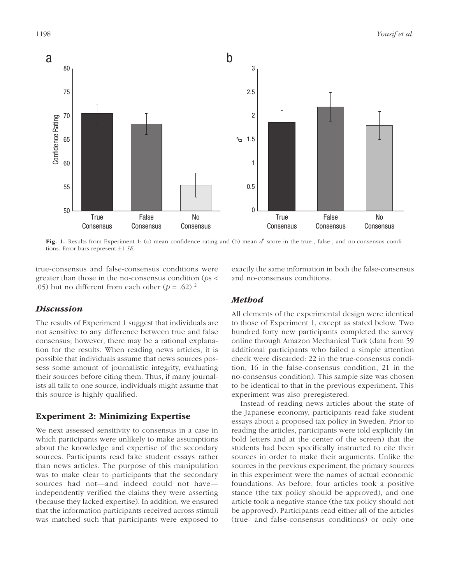

Fig. 1. Results from Experiment 1: (a) mean confidence rating and (b) mean *d*′ score in the true-, false-, and no-consensus conditions. Error bars represent ±1 *SE*.

true-consensus and false-consensus conditions were greater than those in the no-consensus condition (*p*s < .05) but no different from each other  $(p=.62)^2$ 

# *Discussion*

The results of Experiment 1 suggest that individuals are not sensitive to any difference between true and false consensus; however, there may be a rational explanation for the results. When reading news articles, it is possible that individuals assume that news sources possess some amount of journalistic integrity, evaluating their sources before citing them. Thus, if many journalists all talk to one source, individuals might assume that this source is highly qualified.

# Experiment 2: Minimizing Expertise

We next assessed sensitivity to consensus in a case in which participants were unlikely to make assumptions about the knowledge and expertise of the secondary sources. Participants read fake student essays rather than news articles. The purpose of this manipulation was to make clear to participants that the secondary sources had not—and indeed could not have independently verified the claims they were asserting (because they lacked expertise). In addition, we ensured that the information participants received across stimuli was matched such that participants were exposed to exactly the same information in both the false-consensus and no-consensus conditions.

# *Method*

All elements of the experimental design were identical to those of Experiment 1, except as stated below. Two hundred forty new participants completed the survey online through Amazon Mechanical Turk (data from 59 additional participants who failed a simple attention check were discarded: 22 in the true-consensus condition, 16 in the false-consensus condition, 21 in the no-consensus condition). This sample size was chosen to be identical to that in the previous experiment. This experiment was also preregistered.

Instead of reading news articles about the state of the Japanese economy, participants read fake student essays about a proposed tax policy in Sweden. Prior to reading the articles, participants were told explicitly (in bold letters and at the center of the screen) that the students had been specifically instructed to cite their sources in order to make their arguments. Unlike the sources in the previous experiment, the primary sources in this experiment were the names of actual economic foundations. As before, four articles took a positive stance (the tax policy should be approved), and one article took a negative stance (the tax policy should not be approved). Participants read either all of the articles (true- and false-consensus conditions) or only one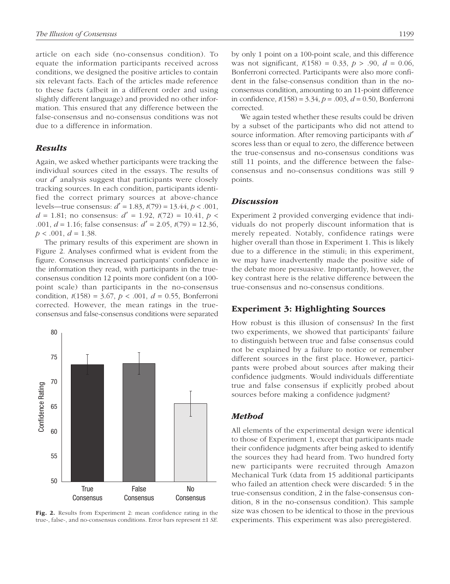article on each side (no-consensus condition). To equate the information participants received across conditions, we designed the positive articles to contain six relevant facts. Each of the articles made reference to these facts (albeit in a different order and using slightly different language) and provided no other information. This ensured that any difference between the false-consensus and no-consensus conditions was not due to a difference in information.

#### *Results*

Again, we asked whether participants were tracking the individual sources cited in the essays. The results of our *d*′ analysis suggest that participants were closely tracking sources. In each condition, participants identified the correct primary sources at above-chance levels—true consensus: *d*′ = 1.83, *t*(79) = 13.44, *p* < .001,  $d = 1.81$ ; no consensus:  $d' = 1.92$ ,  $t(72) = 10.41$ ,  $p <$ .001, *d* = 1.16; false consensus: *d*′ = 2.05, *t*(79) = 12.36,  $p < .001, d = 1.38.$ 

The primary results of this experiment are shown in Figure 2. Analyses confirmed what is evident from the figure. Consensus increased participants' confidence in the information they read, with participants in the trueconsensus condition 12 points more confident (on a 100 point scale) than participants in the no-consensus condition, *t*(158) = 3.67, *p* < .001, *d* = 0.55, Bonferroni corrected. However, the mean ratings in the trueconsensus and false-consensus conditions were separated



Fig. 2. Results from Experiment 2: mean confidence rating in the true-, false-, and no-consensus conditions. Error bars represent ±1 *SE*.

by only 1 point on a 100-point scale, and this difference was not significant, *t*(158) = 0.33, *p* > .90, *d* = 0.06, Bonferroni corrected. Participants were also more confident in the false-consensus condition than in the noconsensus condition, amounting to an 11-point difference in confidence, *t*(158) = 3.34, *p* = .003, *d* = 0.50, Bonferroni corrected.

We again tested whether these results could be driven by a subset of the participants who did not attend to source information. After removing participants with *d*′ scores less than or equal to zero, the difference between the true-consensus and no-consensus conditions was still 11 points, and the difference between the falseconsensus and no-consensus conditions was still 9 points.

## *Discussion*

Experiment 2 provided converging evidence that individuals do not properly discount information that is merely repeated. Notably, confidence ratings were higher overall than those in Experiment 1. This is likely due to a difference in the stimuli; in this experiment, we may have inadvertently made the positive side of the debate more persuasive. Importantly, however, the key contrast here is the relative difference between the true-consensus and no-consensus conditions.

# Experiment 3: Highlighting Sources

How robust is this illusion of consensus? In the first two experiments, we showed that participants' failure to distinguish between true and false consensus could not be explained by a failure to notice or remember different sources in the first place. However, participants were probed about sources after making their confidence judgments. Would individuals differentiate true and false consensus if explicitly probed about sources before making a confidence judgment?

## *Method*

All elements of the experimental design were identical to those of Experiment 1, except that participants made their confidence judgments after being asked to identify the sources they had heard from. Two hundred forty new participants were recruited through Amazon Mechanical Turk (data from 15 additional participants who failed an attention check were discarded: 5 in the true-consensus condition, 2 in the false-consensus condition, 8 in the no-consensus condition). This sample size was chosen to be identical to those in the previous experiments. This experiment was also preregistered.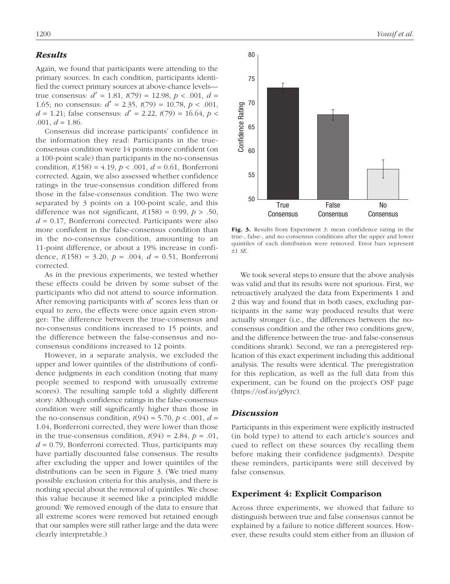#### *Results*

Again, we found that participants were attending to the primary sources. In each condition, participants identified the correct primary sources at above-chance levels true consensus:  $d' = 1.81$ ,  $t(79) = 12.98$ ,  $p < .001$ ,  $d =$ 1.65; no consensus: *d*′ = 2.35, *t*(79) = 10.78, *p* < .001, *d* = 1.21; false consensus:  $d' = 2.22$ ,  $t(79) = 16.64$ ,  $p <$ .001,  $d = 1.86$ .

Consensus did increase participants' confidence in the information they read: Participants in the trueconsensus condition were 14 points more confident (on a 100-point scale) than participants in the no-consensus condition,  $t(158) = 4.19$ ,  $p < .001$ ,  $d = 0.61$ , Bonferroni corrected. Again, we also assessed whether confidence ratings in the true-consensus condition differed from those in the false-consensus condition. The two were separated by 3 points on a 100-point scale, and this difference was not significant,  $t(158) = 0.99$ ,  $p > .50$ , *d* = 0.17, Bonferroni corrected. Participants were also more confident in the false-consensus condition than in the no-consensus condition, amounting to an 11-point difference, or about a 19% increase in confidence, *t*(158) = 3.20, *p* = .004, *d* = 0.51, Bonferroni corrected.

As in the previous experiments, we tested whether these effects could be driven by some subset of the participants who did not attend to source information. After removing participants with *d*′ scores less than or equal to zero, the effects were once again even stronger: The difference between the true-consensus and no-consensus conditions increased to 15 points, and the difference between the false-consensus and noconsensus conditions increased to 12 points.

However, in a separate analysis, we excluded the upper and lower quintiles of the distributions of confidence judgments in each condition (noting that many people seemed to respond with unusually extreme scores). The resulting sample told a slightly different story: Although confidence ratings in the false-consensus condition were still significantly higher than those in the no-consensus condition,  $t(94) = 5.70, p < .001, d =$ 1.04, Bonferroni corrected, they were lower than those in the true-consensus condition,  $t(94) = 2.84$ ,  $p = .01$ ,  $d = 0.79$ , Bonferroni corrected. Thus, participants may have partially discounted false consensus. The results after excluding the upper and lower quintiles of the distributions can be seen in Figure 3. (We tried many possible exclusion criteria for this analysis, and there is nothing special about the removal of quintiles. We chose this value because it seemed like a principled middle ground: We removed enough of the data to ensure that all extreme scores were removed but retained enough that our samples were still rather large and the data were clearly interpretable.)



Fig. 3. Results from Experiment 3: mean confidence rating in the true-, false-, and no-consensus conditions after the upper and lower quintiles of each distribution were removed. Error bars represent ±1 *SE*.

We took several steps to ensure that the above analysis was valid and that its results were not spurious. First, we retroactively analyzed the data from Experiments 1 and 2 this way and found that in both cases, excluding participants in the same way produced results that were actually stronger (i.e., the differences between the noconsensus condition and the other two conditions grew, and the difference between the true- and false-consensus conditions shrank). Second, we ran a preregistered replication of this exact experiment including this additional analysis. The results were identical. The preregistration for this replication, as well as the full data from this experiment, can be found on the project's OSF page [\(https://osf.io/g](https://osf.io/g9yrc)9yrc).

#### *Discussion*

Participants in this experiment were explicitly instructed (in bold type) to attend to each article's sources and cued to reflect on these sources (by recalling them before making their confidence judgments). Despite these reminders, participants were still deceived by false consensus.

# Experiment 4: Explicit Comparison

Across three experiments, we showed that failure to distinguish between true and false consensus cannot be explained by a failure to notice different sources. However, these results could stem either from an illusion of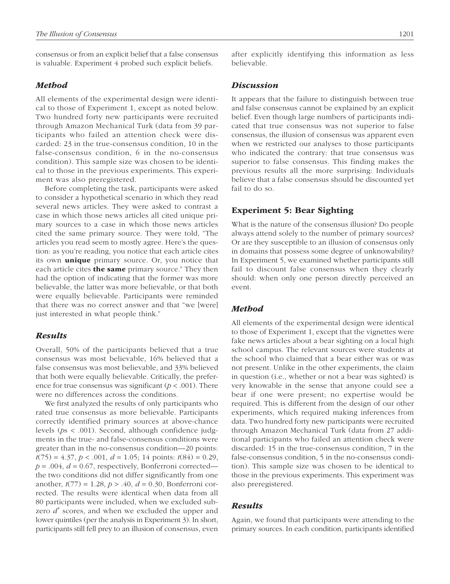consensus or from an explicit belief that a false consensus is valuable. Experiment 4 probed such explicit beliefs.

## *Method*

All elements of the experimental design were identical to those of Experiment 1, except as noted below. Two hundred forty new participants were recruited through Amazon Mechanical Turk (data from 39 participants who failed an attention check were discarded: 23 in the true-consensus condition, 10 in the false-consensus condition, 6 in the no-consensus condition). This sample size was chosen to be identical to those in the previous experiments. This experiment was also preregistered.

Before completing the task, participants were asked to consider a hypothetical scenario in which they read several news articles. They were asked to contrast a case in which those news articles all cited unique primary sources to a case in which those news articles cited the same primary source. They were told, "The articles you read seem to mostly agree. Here's the question: as you're reading, you notice that each article cites its own **unique** primary source. Or, you notice that each article cites **the same** primary source." They then had the option of indicating that the former was more believable, the latter was more believable, or that both were equally believable. Participants were reminded that there was no correct answer and that "we [were] just interested in what people think."

#### *Results*

Overall, 50% of the participants believed that a true consensus was most believable, 16% believed that a false consensus was most believable, and 33% believed that both were equally believable. Critically, the preference for true consensus was significant (*p* < .001). There were no differences across the conditions.

We first analyzed the results of only participants who rated true consensus as more believable. Participants correctly identified primary sources at above-chance levels (*p*s < .001). Second, although confidence judgments in the true- and false-consensus conditions were greater than in the no-consensus condition—20 points: *t*(75) = 4.37, *p* < .001, *d* = 1.05; 14 points: *t*(84) = 0.29,  $p = .004$ ,  $d = 0.67$ , respectively, Bonferroni corrected the two conditions did not differ significantly from one another, *t*(77) = 1.28, *p* > .40, *d* = 0.30, Bonferroni corrected. The results were identical when data from all 80 participants were included, when we excluded subzero *d*′ scores, and when we excluded the upper and lower quintiles (per the analysis in Experiment 3). In short, participants still fell prey to an illusion of consensus, even after explicitly identifying this information as less believable.

#### *Discussion*

It appears that the failure to distinguish between true and false consensus cannot be explained by an explicit belief. Even though large numbers of participants indicated that true consensus was not superior to false consensus, the illusion of consensus was apparent even when we restricted our analyses to those participants who indicated the contrary: that true consensus was superior to false consensus. This finding makes the previous results all the more surprising: Individuals believe that a false consensus should be discounted yet fail to do so.

# Experiment 5: Bear Sighting

What is the nature of the consensus illusion? Do people always attend solely to the number of primary sources? Or are they susceptible to an illusion of consensus only in domains that possess some degree of unknowability? In Experiment 5, we examined whether participants still fail to discount false consensus when they clearly should: when only one person directly perceived an event.

# *Method*

All elements of the experimental design were identical to those of Experiment 1, except that the vignettes were fake news articles about a bear sighting on a local high school campus. The relevant sources were students at the school who claimed that a bear either was or was not present. Unlike in the other experiments, the claim in question (i.e., whether or not a bear was sighted) is very knowable in the sense that anyone could see a bear if one were present; no expertise would be required. This is different from the design of our other experiments, which required making inferences from data. Two hundred forty new participants were recruited through Amazon Mechanical Turk (data from 27 additional participants who failed an attention check were discarded: 15 in the true-consensus condition, 7 in the false-consensus condition, 5 in the no-consensus condition). This sample size was chosen to be identical to those in the previous experiments. This experiment was also preregistered.

# *Results*

Again, we found that participants were attending to the primary sources. In each condition, participants identified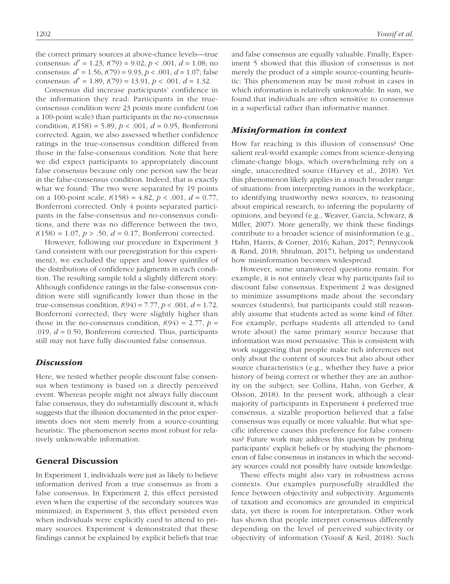the correct primary sources at above-chance levels—true consensus: *d*′ = 1.23, *t*(79) = 9.02, *p* < .001, *d* = 1.08; no consensus: *d*′ = 1.56, *t*(79) = 9.93, *p* < .001, *d* = 1.07; false consensus: *d*′ = 1.89, *t*(79) = 13.91, *p* < .001, *d* = 1.32.

Consensus did increase participants' confidence in the information they read: Participants in the trueconsensus condition were 23 points more confident (on a 100-point scale) than participants in the no-consensus condition, *t*(158) = 5.89, *p* < .001, *d* = 0.95, Bonferroni corrected. Again, we also assessed whether confidence ratings in the true-consensus condition differed from those in the false-consensus condition. Note that here we did expect participants to appropriately discount false consensus because only one person saw the bear in the false-consensus condition. Indeed, that is exactly what we found: The two were separated by 19 points on a 100-point scale, *t*(158) = 4.82, *p* < .001, *d* = 0.77, Bonferroni corrected. Only 4 points separated participants in the false-consensus and no-consensus conditions, and there was no difference between the two, *t*(158) = 1.07, *p* > .50, *d* = 0.17, Bonferroni corrected.

However, following our procedure in Experiment 3 (and consistent with our preregistration for this experiment), we excluded the upper and lower quintiles of the distributions of confidence judgments in each condition. The resulting sample told a slightly different story: Although confidence ratings in the false-consensus condition were still significantly lower than those in the true-consensus condition,  $t(94) = 7.77$ ,  $p < .001$ ,  $d = 1.72$ , Bonferroni corrected, they were slightly higher than those in the no-consensus condition,  $t(94) = 2.77$ ,  $p =$ .019, *d* = 0.50, Bonferroni corrected. Thus, participants still may not have fully discounted false consensus.

# *Discussion*

Here, we tested whether people discount false consensus when testimony is based on a directly perceived event. Whereas people might not always fully discount false consensus, they do substantially discount it, which suggests that the illusion documented in the prior experiments does not stem merely from a source-counting heuristic. The phenomenon seems most robust for relatively unknowable information.

## General Discussion

In Experiment 1, individuals were just as likely to believe information derived from a true consensus as from a false consensus. In Experiment 2, this effect persisted even when the expertise of the secondary sources was minimized; in Experiment 3, this effect persisted even when individuals were explicitly cued to attend to primary sources. Experiment 4 demonstrated that these findings cannot be explained by explicit beliefs that true and false consensus are equally valuable. Finally, Experiment 5 showed that this illusion of consensus is not merely the product of a simple source-counting heuristic: This phenomenon may be most robust in cases in which information is relatively unknowable. In sum, we found that individuals are often sensitive to consensus in a superficial rather than informative manner.

#### *Misinformation in context*

How far reaching is this illusion of consensus? One salient real-world example comes from science-denying climate-change blogs, which overwhelming rely on a single, unaccredited source (Harvey et al., 2018). Yet this phenomenon likely applies in a much broader range of situations: from interpreting rumors in the workplace, to identifying trustworthy news sources, to reasoning about empirical research, to inferring the popularity of opinions, and beyond (e.g., Weaver, Garcia, Schwarz, & Miller, 2007). More generally, we think these findings contribute to a broader science of misinformation (e.g., Hahn, Harris, & Corner, 2016; Kahan, 2017; Pennycook & Rand, 2018; Shtulman, 2017), helping us understand how misinformation becomes widespread.

However, some unanswered questions remain. For example, it is not entirely clear why participants fail to discount false consensus. Experiment 2 was designed to minimize assumptions made about the secondary sources (students), but participants could still reasonably assume that students acted as some kind of filter. For example, perhaps students all attended to (and wrote about) the same primary source because that information was most persuasive. This is consistent with work suggesting that people make rich inferences not only about the content of sources but also about other source characteristics (e.g., whether they have a prior history of being correct or whether they are an authority on the subject; see Collins, Hahn, von Gerber, & Olsson, 2018). In the present work, although a clear majority of participants in Experiment 4 preferred true consensus, a sizable proportion believed that a false consensus was equally or more valuable. But what specific inference causes this preference for false consensus? Future work may address this question by probing participants' explicit beliefs or by studying the phenomenon of false consensus in instances in which the secondary sources could not possibly have outside knowledge.

These effects might also vary in robustness across contexts. Our examples purposefully straddled the fence between objectivity and subjectivity. Arguments of taxation and economics are grounded in empirical data, yet there is room for interpretation. Other work has shown that people interpret consensus differently depending on the level of perceived subjectivity or objectivity of information (Yousif & Keil, 2018). Such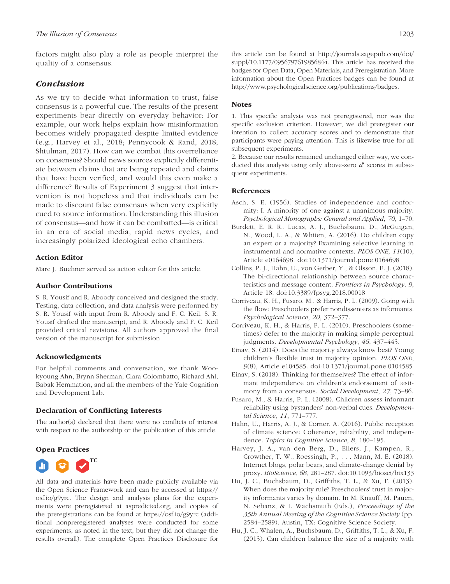factors might also play a role as people interpret the quality of a consensus.

# *Conclusion*

As we try to decide what information to trust, false consensus is a powerful cue. The results of the present experiments bear directly on everyday behavior: For example, our work helps explain how misinformation becomes widely propagated despite limited evidence (e.g., Harvey et al., 2018; Pennycook & Rand, 2018; Shtulman, 2017). How can we combat this overreliance on consensus? Should news sources explicitly differentiate between claims that are being repeated and claims that have been verified, and would this even make a difference? Results of Experiment 3 suggest that intervention is not hopeless and that individuals can be made to discount false consensus when very explicitly cued to source information. Understanding this illusion of consensus—and how it can be combatted—is critical in an era of social media, rapid news cycles, and increasingly polarized ideological echo chambers.

## Action Editor

Marc J. Buehner served as action editor for this article.

#### Author Contributions

S. R. Yousif and R. Aboody conceived and designed the study. Testing, data collection, and data analysis were performed by S. R. Yousif with input from R. Aboody and F. C. Keil. S. R. Yousif drafted the manuscript, and R. Aboody and F. C. Keil provided critical revisions. All authors approved the final version of the manuscript for submission.

#### Acknowledgments

For helpful comments and conversation, we thank Wookyoung Ahn, Brynn Sherman, Clara Colombatto, Richard Ahl, Babak Hemmation, and all the members of the Yale Cognition and Development Lab.

#### Declaration of Conflicting Interests

The author(s) declared that there were no conflicts of interest with respect to the authorship or the publication of this article.

#### Open Practices



All data and materials have been made publicly available via the Open Science Framework and can be accessed at [https://](https://osf.io/g9yrc) [osf.io/](https://osf.io/g9yrc)g9yrc. The design and analysis plans for the experiments were preregistered at [aspredicted.org,](http://www.aspredicted.org) and copies of the preregistrations can be found at [https://osf.io/](https://osf.io/g9yrc)g9yrc (additional nonpreregistered analyses were conducted for some experiments, as noted in the text, but they did not change the results overall). The complete Open Practices Disclosure for this article can be found at [http://journals.sagepub.com/doi/](http://journals.sagepub.com/doi/suppl/10.1177/0956797619856844) [suppl/10.1177/0956797619856844](http://journals.sagepub.com/doi/suppl/10.1177/0956797619856844). This article has received the badges for Open Data, Open Materials, and Preregistration. More information about the Open Practices badges can be found at [http://www.psychologicalscience.org/publications/badges.](http://www.psychologicalscience.org/publications/badges)

#### **Notes**

1. This specific analysis was not preregistered, nor was the specific exclusion criterion. However, we did preregister our intention to collect accuracy scores and to demonstrate that participants were paying attention. This is likewise true for all subsequent experiments.

2. Because our results remained unchanged either way, we conducted this analysis using only above-zero *d*′ scores in subsequent experiments.

#### **References**

- Asch, S. E. (1956). Studies of independence and conformity: I. A minority of one against a unanimous majority. *Psychological Monographs: General and Applied*, *70*, 1–70.
- Burdett, E. R. R., Lucas, A. J., Buchsbaum, D., McGuigan, N., Wood, L. A., & Whiten, A. (2016). Do children copy an expert or a majority? Examining selective learning in instrumental and normative contexts. *PLOS ONE*, *11*(10), Article e0164698. doi:10.1371/journal.pone.0164698
- Collins, P. J., Hahn, U., von Gerber, Y., & Olsson, E. J. (2018). The bi-directional relationship between source characteristics and message content. *Frontiers in Psychology*, *9*, Article 18. doi:10.3389/fpsyg.2018.00018
- Corriveau, K. H., Fusaro, M., & Harris, P. L. (2009). Going with the flow: Preschoolers prefer nondissenters as informants. *Psychological Science*, *20*, 372–377.
- Corriveau, K. H., & Harris, P. L. (2010). Preschoolers (sometimes) defer to the majority in making simple perceptual judgments. *Developmental Psychology*, *46*, 437–445.
- Einav, S. (2014). Does the majority always know best? Young children's flexible trust in majority opinion. *PLOS ONE*, *9*(8), Article e104585. doi:10.1371/journal.pone.0104585
- Einav, S. (2018). Thinking for themselves? The effect of informant independence on children's endorsement of testimony from a consensus. *Social Development*, *27*, 73–86.
- Fusaro, M., & Harris, P. L. (2008). Children assess informant reliability using bystanders' non-verbal cues. *Developmental Science*, *11*, 771–777.
- Hahn, U., Harris, A. J., & Corner, A. (2016). Public reception of climate science: Coherence, reliability, and independence. *Topics in Cognitive Science*, *8*, 180–195.
- Harvey, J. A., van den Berg, D., Ellers, J., Kampen, R., Crowther, T. W., Roessingh, P., . . . Mann, M. E. (2018). Internet blogs, polar bears, and climate-change denial by proxy. *BioScience*, *68*, 281–287. doi:10.1093/biosci/bix133
- Hu, J. C., Buchsbaum, D., Griffiths, T. L., & Xu, F. (2013). When does the majority rule? Preschoolers' trust in majority informants varies by domain. In M. Knauff, M. Pauen, N. Sebanz, & I. Wachsmuth (Eds.), *Proceedings of the 35th Annual Meeting of the Cognitive Science Society* (pp. 2584–2589). Austin, TX: Cognitive Science Society.
- Hu, J. C., Whalen, A., Buchsbaum, D., Griffiths, T. L., & Xu, F. (2015). Can children balance the size of a majority with